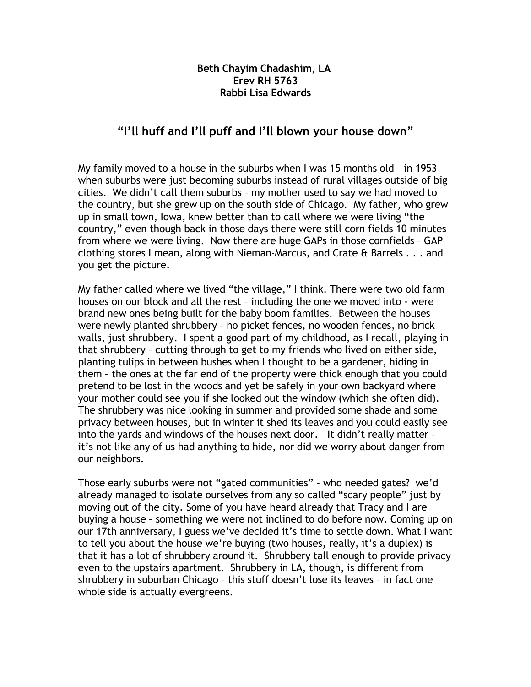## **Beth Chayim Chadashim, LA Erev RH 5763 Rabbi Lisa Edwards**

## **"I'll huff and I'll puff and I'll blown your house down"**

My family moved to a house in the suburbs when I was 15 months old – in 1953 – when suburbs were just becoming suburbs instead of rural villages outside of big cities. We didn't call them suburbs – my mother used to say we had moved to the country, but she grew up on the south side of Chicago. My father, who grew up in small town, Iowa, knew better than to call where we were living "the country," even though back in those days there were still corn fields 10 minutes from where we were living. Now there are huge GAPs in those cornfields – GAP clothing stores I mean, along with Nieman-Marcus, and Crate & Barrels . . . and you get the picture.

My father called where we lived "the village," I think. There were two old farm houses on our block and all the rest – including the one we moved into - were brand new ones being built for the baby boom families. Between the houses were newly planted shrubbery – no picket fences, no wooden fences, no brick walls, just shrubbery. I spent a good part of my childhood, as I recall, playing in that shrubbery – cutting through to get to my friends who lived on either side, planting tulips in between bushes when I thought to be a gardener, hiding in them – the ones at the far end of the property were thick enough that you could pretend to be lost in the woods and yet be safely in your own backyard where your mother could see you if she looked out the window (which she often did). The shrubbery was nice looking in summer and provided some shade and some privacy between houses, but in winter it shed its leaves and you could easily see into the yards and windows of the houses next door. It didn't really matter – it's not like any of us had anything to hide, nor did we worry about danger from our neighbors.

Those early suburbs were not "gated communities" – who needed gates? we'd already managed to isolate ourselves from any so called "scary people" just by moving out of the city. Some of you have heard already that Tracy and I are buying a house – something we were not inclined to do before now. Coming up on our 17th anniversary, I guess we've decided it's time to settle down. What I want to tell you about the house we're buying (two houses, really, it's a duplex) is that it has a lot of shrubbery around it. Shrubbery tall enough to provide privacy even to the upstairs apartment. Shrubbery in LA, though, is different from shrubbery in suburban Chicago – this stuff doesn't lose its leaves – in fact one whole side is actually evergreens.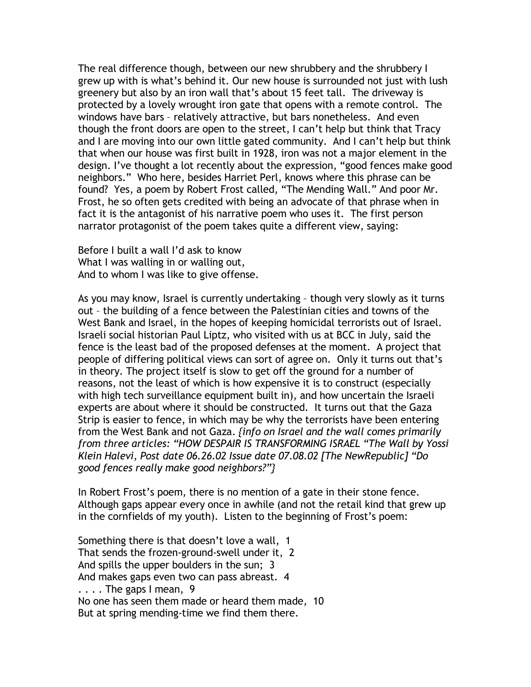The real difference though, between our new shrubbery and the shrubbery I grew up with is what's behind it. Our new house is surrounded not just with lush greenery but also by an iron wall that's about 15 feet tall. The driveway is protected by a lovely wrought iron gate that opens with a remote control. The windows have bars – relatively attractive, but bars nonetheless. And even though the front doors are open to the street, I can't help but think that Tracy and I are moving into our own little gated community. And I can't help but think that when our house was first built in 1928, iron was not a major element in the design. I've thought a lot recently about the expression, "good fences make good neighbors." Who here, besides Harriet Perl, knows where this phrase can be found? Yes, a poem by Robert Frost called, "The Mending Wall." And poor Mr. Frost, he so often gets credited with being an advocate of that phrase when in fact it is the antagonist of his narrative poem who uses it. The first person narrator protagonist of the poem takes quite a different view, saying:

Before I built a wall I'd ask to know What I was walling in or walling out, And to whom I was like to give offense.

As you may know, Israel is currently undertaking – though very slowly as it turns out – the building of a fence between the Palestinian cities and towns of the West Bank and Israel, in the hopes of keeping homicidal terrorists out of Israel. Israeli social historian Paul Liptz, who visited with us at BCC in July, said the fence is the least bad of the proposed defenses at the moment. A project that people of differing political views can sort of agree on. Only it turns out that's in theory. The project itself is slow to get off the ground for a number of reasons, not the least of which is how expensive it is to construct (especially with high tech surveillance equipment built in), and how uncertain the Israeli experts are about where it should be constructed. It turns out that the Gaza Strip is easier to fence, in which may be why the terrorists have been entering from the West Bank and not Gaza. *{info on Israel and the wall comes primarily from three articles: "HOW DESPAIR IS TRANSFORMING ISRAEL "The Wall by Yossi Klein Halevi, Post date 06.26.02 Issue date 07.08.02 [The NewRepublic] "Do good fences really make good neighbors?"}*

In Robert Frost's poem, there is no mention of a gate in their stone fence. Although gaps appear every once in awhile (and not the retail kind that grew up in the cornfields of my youth). Listen to the beginning of Frost's poem:

Something there is that doesn't love a wall, 1 That sends the frozen-ground-swell under it, 2 And spills the upper boulders in the sun; 3 And makes gaps even two can pass abreast. 4  $\ldots$  . The gaps I mean, 9 No one has seen them made or heard them made, 10 But at spring mending-time we find them there.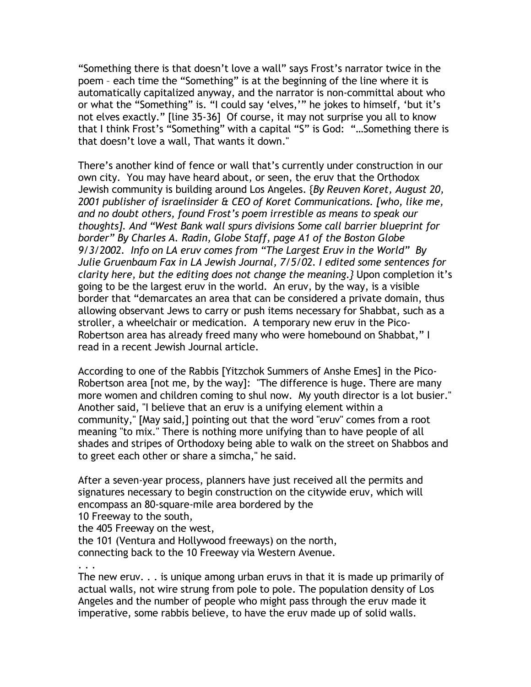"Something there is that doesn't love a wall" says Frost's narrator twice in the poem – each time the "Something" is at the beginning of the line where it is automatically capitalized anyway, and the narrator is non-committal about who or what the "Something" is. "I could say 'elves,'" he jokes to himself, 'but it's not elves exactly." [line 35-36] Of course, it may not surprise you all to know that I think Frost's "Something" with a capital "S" is God: "…Something there is that doesn't love a wall, That wants it down."

There's another kind of fence or wall that's currently under construction in our own city. You may have heard about, or seen, the eruv that the Orthodox Jewish community is building around Los Angeles. {*By Reuven Koret, August 20, 2001 publisher of israelinsider & CEO of Koret Communications. [who, like me, and no doubt others, found Frost's poem irrestible as means to speak our thoughts]. And "West Bank wall spurs divisions Some call barrier blueprint for border" By Charles A. Radin, Globe Staff, page A1 of the Boston Globe 9/3/2002. Info on LA eruv comes from "The Largest Eruv in the World" By Julie Gruenbaum Fax in LA Jewish Journal, 7/5/02. I edited some sentences for clarity here, but the editing does not change the meaning.}* Upon completion it's going to be the largest eruv in the world. An eruv, by the way, is a visible border that "demarcates an area that can be considered a private domain, thus allowing observant Jews to carry or push items necessary for Shabbat, such as a stroller, a wheelchair or medication. A temporary new eruv in the Pico-Robertson area has already freed many who were homebound on Shabbat," I read in a recent Jewish Journal article.

According to one of the Rabbis [Yitzchok Summers of Anshe Emes] in the Pico-Robertson area [not me, by the way]: "The difference is huge. There are many more women and children coming to shul now. My youth director is a lot busier." Another said, "I believe that an eruv is a unifying element within a community," [May said,] pointing out that the word "eruv" comes from a root meaning "to mix." There is nothing more unifying than to have people of all shades and stripes of Orthodoxy being able to walk on the street on Shabbos and to greet each other or share a simcha," he said.

After a seven-year process, planners have just received all the permits and signatures necessary to begin construction on the citywide eruv, which will encompass an 80-square-mile area bordered by the 10 Freeway to the south,

the 405 Freeway on the west,

the 101 (Ventura and Hollywood freeways) on the north, connecting back to the 10 Freeway via Western Avenue.

. . .

The new eruv. . . is unique among urban eruvs in that it is made up primarily of actual walls, not wire strung from pole to pole. The population density of Los Angeles and the number of people who might pass through the eruv made it imperative, some rabbis believe, to have the eruv made up of solid walls.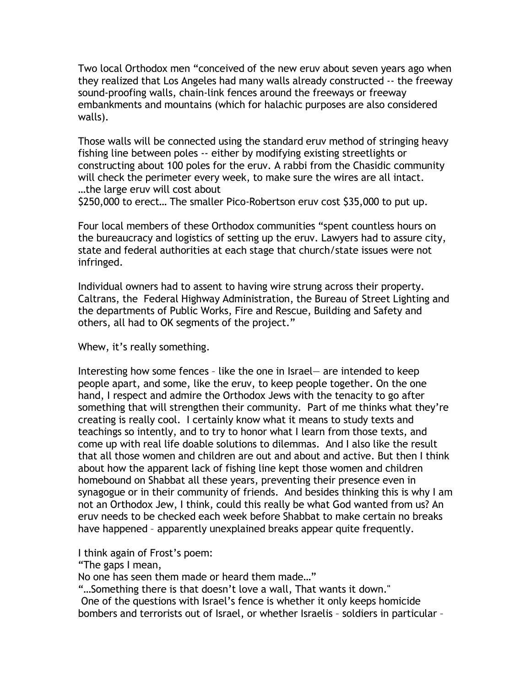Two local Orthodox men "conceived of the new eruv about seven years ago when they realized that Los Angeles had many walls already constructed -- the freeway sound-proofing walls, chain-link fences around the freeways or freeway embankments and mountains (which for halachic purposes are also considered walls).

Those walls will be connected using the standard eruv method of stringing heavy fishing line between poles -- either by modifying existing streetlights or constructing about 100 poles for the eruv. A rabbi from the Chasidic community will check the perimeter every week, to make sure the wires are all intact. …the large eruv will cost about

\$250,000 to erect… The smaller Pico-Robertson eruv cost \$35,000 to put up.

Four local members of these Orthodox communities "spent countless hours on the bureaucracy and logistics of setting up the eruv. Lawyers had to assure city, state and federal authorities at each stage that church/state issues were not infringed.

Individual owners had to assent to having wire strung across their property. Caltrans, the Federal Highway Administration, the Bureau of Street Lighting and the departments of Public Works, Fire and Rescue, Building and Safety and others, all had to OK segments of the project."

Whew, it's really something.

Interesting how some fences – like the one in Israel— are intended to keep people apart, and some, like the eruv, to keep people together. On the one hand, I respect and admire the Orthodox Jews with the tenacity to go after something that will strengthen their community. Part of me thinks what they're creating is really cool. I certainly know what it means to study texts and teachings so intently, and to try to honor what I learn from those texts, and come up with real life doable solutions to dilemmas. And I also like the result that all those women and children are out and about and active. But then I think about how the apparent lack of fishing line kept those women and children homebound on Shabbat all these years, preventing their presence even in synagogue or in their community of friends. And besides thinking this is why I am not an Orthodox Jew, I think, could this really be what God wanted from us? An eruv needs to be checked each week before Shabbat to make certain no breaks have happened – apparently unexplained breaks appear quite frequently.

I think again of Frost's poem:

"The gaps I mean,

No one has seen them made or heard them made…"

"…Something there is that doesn't love a wall, That wants it down."

One of the questions with Israel's fence is whether it only keeps homicide bombers and terrorists out of Israel, or whether Israelis – soldiers in particular –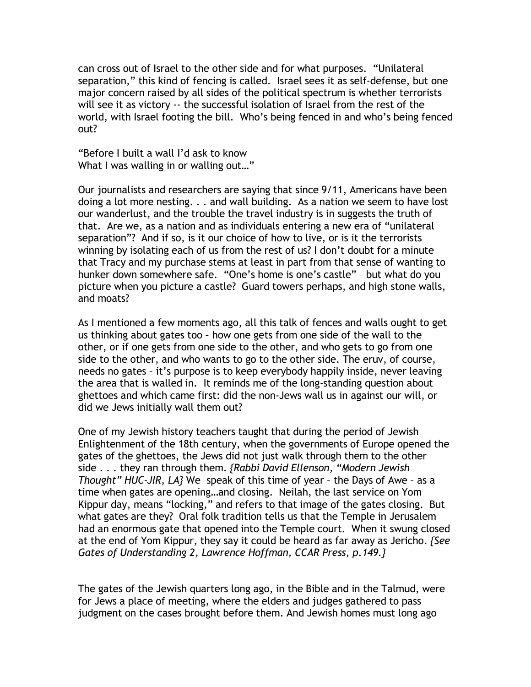can cross out of Israel to the other side and for what purposes. "Unilateral separation," this kind of fencing is called. Israel sees it as self-defense, but one major concern raised by all sides of the political spectrum is whether terrorists will see it as victory -- the successful isolation of Israel from the rest of the world, with Israel footing the bill. Who's being fenced in and who's being fenced out?

"Before I built a wall I'd ask to know What I was walling in or walling out…"

Our journalists and researchers are saying that since 9/11, Americans have been doing a lot more nesting. . . and wall building. As a nation we seem to have lost our wanderlust, and the trouble the travel industry is in suggests the truth of that. Are we, as a nation and as individuals entering a new era of "unilateral separation"? And if so, is it our choice of how to live, or is it the terrorists winning by isolating each of us from the rest of us? I don't doubt for a minute that Tracy and my purchase stems at least in part from that sense of wanting to hunker down somewhere safe. "One's home is one's castle" – but what do you picture when you picture a castle? Guard towers perhaps, and high stone walls, and moats?

As I mentioned a few moments ago, all this talk of fences and walls ought to get us thinking about gates too – how one gets from one side of the wall to the other, or if one gets from one side to the other, and who gets to go from one side to the other, and who wants to go to the other side. The eruv, of course, needs no gates – it's purpose is to keep everybody happily inside, never leaving the area that is walled in. It reminds me of the long-standing question about ghettoes and which came first: did the non-Jews wall us in against our will, or did we Jews initially wall them out?

One of my Jewish history teachers taught that during the period of Jewish Enlightenment of the 18th century, when the governments of Europe opened the gates of the ghettoes, the Jews did not just walk through them to the other side . . . they ran through them. *{Rabbi David Ellenson, "Modern Jewish Thought" HUC-JIR, LA}* We speak of this time of year – the Days of Awe – as a time when gates are opening…and closing. Neilah, the last service on Yom Kippur day, means "locking," and refers to that image of the gates closing. But what gates are they? Oral folk tradition tells us that the Temple in Jerusalem had an enormous gate that opened into the Temple court. When it swung closed at the end of Yom Kippur, they say it could be heard as far away as Jericho. *{See Gates of Understanding 2, Lawrence Hoffman, CCAR Press, p.149.}*

The gates of the Jewish quarters long ago, in the Bible and in the Talmud, were for Jews a place of meeting, where the elders and judges gathered to pass judgment on the cases brought before them. And Jewish homes must long ago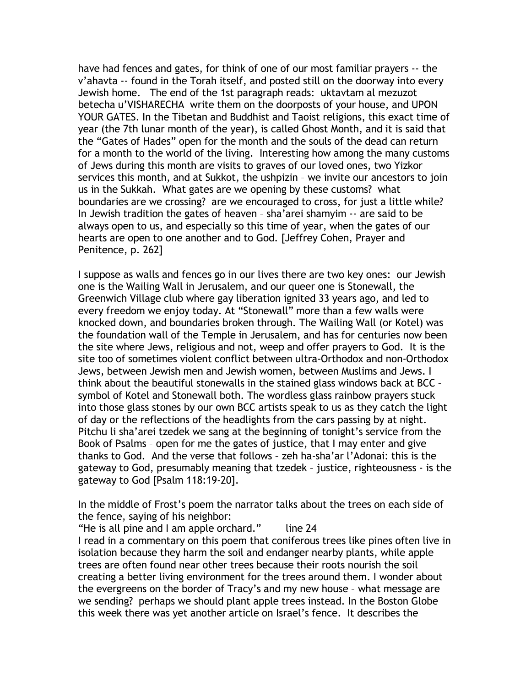have had fences and gates, for think of one of our most familiar prayers -- the v'ahavta -- found in the Torah itself, and posted still on the doorway into every Jewish home. The end of the 1st paragraph reads: uktavtam al mezuzot betecha u'VISHARECHA write them on the doorposts of your house, and UPON YOUR GATES. In the Tibetan and Buddhist and Taoist religions, this exact time of year (the 7th lunar month of the year), is called Ghost Month, and it is said that the "Gates of Hades" open for the month and the souls of the dead can return for a month to the world of the living. Interesting how among the many customs of Jews during this month are visits to graves of our loved ones, two Yizkor services this month, and at Sukkot, the ushpizin – we invite our ancestors to join us in the Sukkah. What gates are we opening by these customs? what boundaries are we crossing? are we encouraged to cross, for just a little while? In Jewish tradition the gates of heaven – sha'arei shamyim -- are said to be always open to us, and especially so this time of year, when the gates of our hearts are open to one another and to God. [Jeffrey Cohen, Prayer and Penitence, p. 262]

I suppose as walls and fences go in our lives there are two key ones: our Jewish one is the Wailing Wall in Jerusalem, and our queer one is Stonewall, the Greenwich Village club where gay liberation ignited 33 years ago, and led to every freedom we enjoy today. At "Stonewall" more than a few walls were knocked down, and boundaries broken through. The Wailing Wall (or Kotel) was the foundation wall of the Temple in Jerusalem, and has for centuries now been the site where Jews, religious and not, weep and offer prayers to God. It is the site too of sometimes violent conflict between ultra-Orthodox and non-Orthodox Jews, between Jewish men and Jewish women, between Muslims and Jews. I think about the beautiful stonewalls in the stained glass windows back at BCC – symbol of Kotel and Stonewall both. The wordless glass rainbow prayers stuck into those glass stones by our own BCC artists speak to us as they catch the light of day or the reflections of the headlights from the cars passing by at night. Pitchu li sha'arei tzedek we sang at the beginning of tonight's service from the Book of Psalms – open for me the gates of justice, that I may enter and give thanks to God. And the verse that follows – zeh ha-sha'ar l'Adonai: this is the gateway to God, presumably meaning that tzedek – justice, righteousness - is the gateway to God [Psalm 118:19-20].

In the middle of Frost's poem the narrator talks about the trees on each side of the fence, saying of his neighbor:

"He is all pine and I am apple orchard." line  $24$ I read in a commentary on this poem that coniferous trees like pines often live in isolation because they harm the soil and endanger nearby plants, while apple trees are often found near other trees because their roots nourish the soil creating a better living environment for the trees around them. I wonder about the evergreens on the border of Tracy's and my new house – what message are we sending? perhaps we should plant apple trees instead. In the Boston Globe this week there was yet another article on Israel's fence. It describes the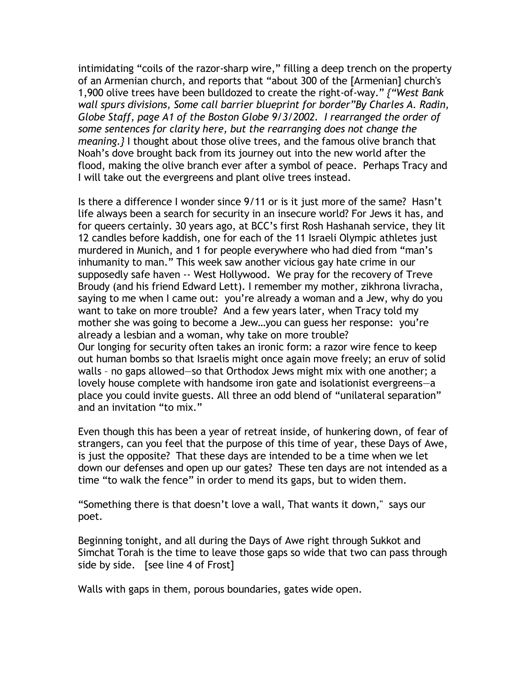intimidating "coils of the razor-sharp wire," filling a deep trench on the property of an Armenian church, and reports that "about 300 of the [Armenian] church's 1,900 olive trees have been bulldozed to create the right-of-way." *{"West Bank wall spurs divisions, Some call barrier blueprint for border"By Charles A. Radin, Globe Staff, page A1 of the Boston Globe 9/3/2002. I rearranged the order of some sentences for clarity here, but the rearranging does not change the meaning.}* I thought about those olive trees, and the famous olive branch that Noah's dove brought back from its journey out into the new world after the flood, making the olive branch ever after a symbol of peace. Perhaps Tracy and I will take out the evergreens and plant olive trees instead.

Is there a difference I wonder since 9/11 or is it just more of the same? Hasn't life always been a search for security in an insecure world? For Jews it has, and for queers certainly. 30 years ago, at BCC's first Rosh Hashanah service, they lit 12 candles before kaddish, one for each of the 11 Israeli Olympic athletes just murdered in Munich, and 1 for people everywhere who had died from "man's inhumanity to man." This week saw another vicious gay hate crime in our supposedly safe haven -- West Hollywood. We pray for the recovery of Treve Broudy (and his friend Edward Lett). I remember my mother, zikhrona livracha, saying to me when I came out: you're already a woman and a Jew, why do you want to take on more trouble? And a few years later, when Tracy told my mother she was going to become a Jew…you can guess her response: you're already a lesbian and a woman, why take on more trouble? Our longing for security often takes an ironic form: a razor wire fence to keep out human bombs so that Israelis might once again move freely; an eruv of solid walls – no gaps allowed—so that Orthodox Jews might mix with one another; a lovely house complete with handsome iron gate and isolationist evergreens—a place you could invite guests. All three an odd blend of "unilateral separation" and an invitation "to mix."

Even though this has been a year of retreat inside, of hunkering down, of fear of strangers, can you feel that the purpose of this time of year, these Days of Awe, is just the opposite? That these days are intended to be a time when we let down our defenses and open up our gates? These ten days are not intended as a time "to walk the fence" in order to mend its gaps, but to widen them.

"Something there is that doesn't love a wall, That wants it down," says our poet.

Beginning tonight, and all during the Days of Awe right through Sukkot and Simchat Torah is the time to leave those gaps so wide that two can pass through side by side. [see line 4 of Frost]

Walls with gaps in them, porous boundaries, gates wide open.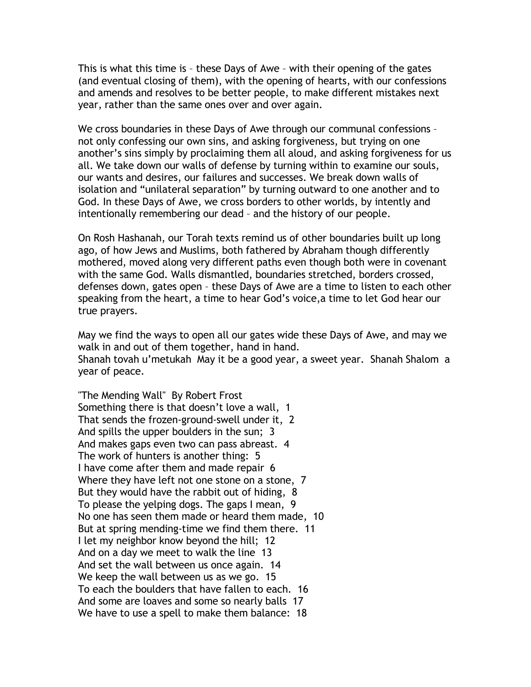This is what this time is – these Days of Awe – with their opening of the gates (and eventual closing of them), with the opening of hearts, with our confessions and amends and resolves to be better people, to make different mistakes next year, rather than the same ones over and over again.

We cross boundaries in these Days of Awe through our communal confessions – not only confessing our own sins, and asking forgiveness, but trying on one another's sins simply by proclaiming them all aloud, and asking forgiveness for us all. We take down our walls of defense by turning within to examine our souls, our wants and desires, our failures and successes. We break down walls of isolation and "unilateral separation" by turning outward to one another and to God. In these Days of Awe, we cross borders to other worlds, by intently and intentionally remembering our dead – and the history of our people.

On Rosh Hashanah, our Torah texts remind us of other boundaries built up long ago, of how Jews and Muslims, both fathered by Abraham though differently mothered, moved along very different paths even though both were in covenant with the same God. Walls dismantled, boundaries stretched, borders crossed, defenses down, gates open – these Days of Awe are a time to listen to each other speaking from the heart, a time to hear God's voice,a time to let God hear our true prayers.

May we find the ways to open all our gates wide these Days of Awe, and may we walk in and out of them together, hand in hand.

Shanah tovah u'metukah May it be a good year, a sweet year. Shanah Shalom a year of peace.

"The Mending Wall" By Robert Frost Something there is that doesn't love a wall, 1 That sends the frozen-ground-swell under it, 2 And spills the upper boulders in the sun; 3 And makes gaps even two can pass abreast. 4 The work of hunters is another thing: 5 I have come after them and made repair 6 Where they have left not one stone on a stone, 7 But they would have the rabbit out of hiding, 8 To please the yelping dogs. The gaps I mean, 9 No one has seen them made or heard them made, 10 But at spring mending-time we find them there. 11 I let my neighbor know beyond the hill; 12 And on a day we meet to walk the line 13 And set the wall between us once again. 14 We keep the wall between us as we go. 15 To each the boulders that have fallen to each. 16 And some are loaves and some so nearly balls 17 We have to use a spell to make them balance: 18